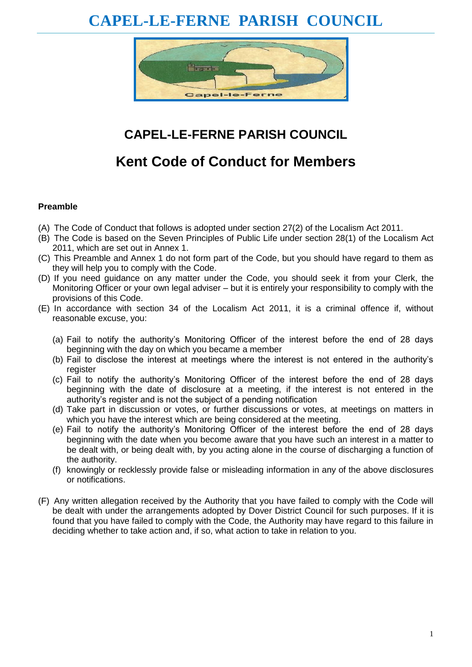# **CAPEL-LE-FERNE PARISH COUNCIL**



## **CAPEL-LE-FERNE PARISH COUNCIL**

## **Kent Code of Conduct for Members**

#### **Preamble**

- (A) The Code of Conduct that follows is adopted under section 27(2) of the Localism Act 2011.
- (B) The Code is based on the Seven Principles of Public Life under section 28(1) of the Localism Act 2011, which are set out in Annex 1.
- (C) This Preamble and Annex 1 do not form part of the Code, but you should have regard to them as they will help you to comply with the Code.
- (D) If you need guidance on any matter under the Code, you should seek it from your Clerk, the Monitoring Officer or your own legal adviser – but it is entirely your responsibility to comply with the provisions of this Code.
- (E) In accordance with section 34 of the Localism Act 2011, it is a criminal offence if, without reasonable excuse, you:
	- (a) Fail to notify the authority's Monitoring Officer of the interest before the end of 28 days beginning with the day on which you became a member
	- (b) Fail to disclose the interest at meetings where the interest is not entered in the authority's register
	- (c) Fail to notify the authority's Monitoring Officer of the interest before the end of 28 days beginning with the date of disclosure at a meeting, if the interest is not entered in the authority's register and is not the subject of a pending notification
	- (d) Take part in discussion or votes, or further discussions or votes, at meetings on matters in which you have the interest which are being considered at the meeting.
	- (e) Fail to notify the authority's Monitoring Officer of the interest before the end of 28 days beginning with the date when you become aware that you have such an interest in a matter to be dealt with, or being dealt with, by you acting alone in the course of discharging a function of the authority.
	- (f) knowingly or recklessly provide false or misleading information in any of the above disclosures or notifications.
- (F) Any written allegation received by the Authority that you have failed to comply with the Code will be dealt with under the arrangements adopted by Dover District Council for such purposes. If it is found that you have failed to comply with the Code, the Authority may have regard to this failure in deciding whether to take action and, if so, what action to take in relation to you.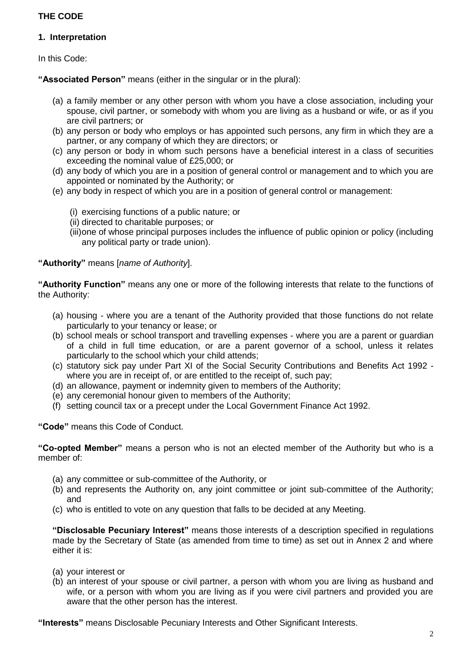### **THE CODE**

#### **1. Interpretation**

In this Code:

**"Associated Person"** means (either in the singular or in the plural):

- (a) a family member or any other person with whom you have a close association, including your spouse, civil partner, or somebody with whom you are living as a husband or wife, or as if you are civil partners; or
- (b) any person or body who employs or has appointed such persons, any firm in which they are a partner, or any company of which they are directors; or
- (c) any person or body in whom such persons have a beneficial interest in a class of securities exceeding the nominal value of £25,000; or
- (d) any body of which you are in a position of general control or management and to which you are appointed or nominated by the Authority; or
- (e) any body in respect of which you are in a position of general control or management:
	- (i) exercising functions of a public nature; or
	- (ii) directed to charitable purposes; or
	- (iii)one of whose principal purposes includes the influence of public opinion or policy (including any political party or trade union).

**"Authority"** means [*name of Authority*].

**"Authority Function"** means any one or more of the following interests that relate to the functions of the Authority:

- (a) housing where you are a tenant of the Authority provided that those functions do not relate particularly to your tenancy or lease; or
- (b) school meals or school transport and travelling expenses where you are a parent or guardian of a child in full time education, or are a parent governor of a school, unless it relates particularly to the school which your child attends;
- (c) statutory sick pay under Part XI of the Social Security Contributions and Benefits Act 1992 where you are in receipt of, or are entitled to the receipt of, such pay;
- (d) an allowance, payment or indemnity given to members of the Authority;
- (e) any ceremonial honour given to members of the Authority;
- (f) setting council tax or a precept under the Local Government Finance Act 1992.

**"Code"** means this Code of Conduct.

**"Co-opted Member"** means a person who is not an elected member of the Authority but who is a member of:

- (a) any committee or sub-committee of the Authority, or
- (b) and represents the Authority on, any joint committee or joint sub-committee of the Authority; and
- (c) who is entitled to vote on any question that falls to be decided at any Meeting.

**"Disclosable Pecuniary Interest"** means those interests of a description specified in regulations made by the Secretary of State (as amended from time to time) as set out in Annex 2 and where either it is:

- (a) your interest or
- (b) an interest of your spouse or civil partner, a person with whom you are living as husband and wife, or a person with whom you are living as if you were civil partners and provided you are aware that the other person has the interest.

**"Interests"** means Disclosable Pecuniary Interests and Other Significant Interests.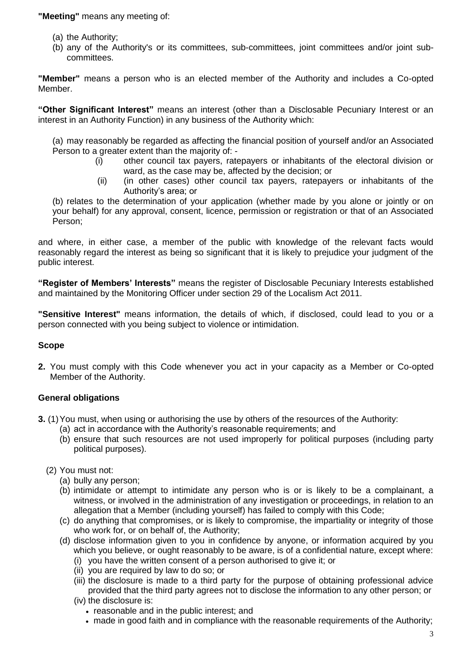**"Meeting"** means any meeting of:

- (a) the Authority;
- (b) any of the Authority's or its committees, sub-committees, joint committees and/or joint subcommittees.

**"Member"** means a person who is an elected member of the Authority and includes a Co-opted Member.

**"Other Significant Interest"** means an interest (other than a Disclosable Pecuniary Interest or an interest in an Authority Function) in any business of the Authority which:

(a) may reasonably be regarded as affecting the financial position of yourself and/or an Associated Person to a greater extent than the majority of: -

- (i) other council tax payers, ratepayers or inhabitants of the electoral division or ward, as the case may be, affected by the decision; or
- (ii) (in other cases) other council tax payers, ratepayers or inhabitants of the Authority's area; or

(b) relates to the determination of your application (whether made by you alone or jointly or on your behalf) for any approval, consent, licence, permission or registration or that of an Associated Person;

and where, in either case, a member of the public with knowledge of the relevant facts would reasonably regard the interest as being so significant that it is likely to prejudice your judgment of the public interest.

**"Register of Members' Interests"** means the register of Disclosable Pecuniary Interests established and maintained by the Monitoring Officer under section 29 of the Localism Act 2011.

**"Sensitive Interest"** means information, the details of which, if disclosed, could lead to you or a person connected with you being subject to violence or intimidation.

#### **Scope**

**2.** You must comply with this Code whenever you act in your capacity as a Member or Co-opted Member of the Authority.

#### **General obligations**

- **3.** (1) You must, when using or authorising the use by others of the resources of the Authority:
	- (a) act in accordance with the Authority's reasonable requirements; and
	- (b) ensure that such resources are not used improperly for political purposes (including party political purposes).
	- (2) You must not:
		- (a) bully any person;
		- (b) intimidate or attempt to intimidate any person who is or is likely to be a complainant, a witness, or involved in the administration of any investigation or proceedings, in relation to an allegation that a Member (including yourself) has failed to comply with this Code;
		- (c) do anything that compromises, or is likely to compromise, the impartiality or integrity of those who work for, or on behalf of, the Authority;
		- (d) disclose information given to you in confidence by anyone, or information acquired by you which you believe, or ought reasonably to be aware, is of a confidential nature, except where:
			- (i) you have the written consent of a person authorised to give it; or
			- (ii) you are required by law to do so; or
			- (iii) the disclosure is made to a third party for the purpose of obtaining professional advice provided that the third party agrees not to disclose the information to any other person; or
			- (iv) the disclosure is:
				- reasonable and in the public interest; and
				- made in good faith and in compliance with the reasonable requirements of the Authority;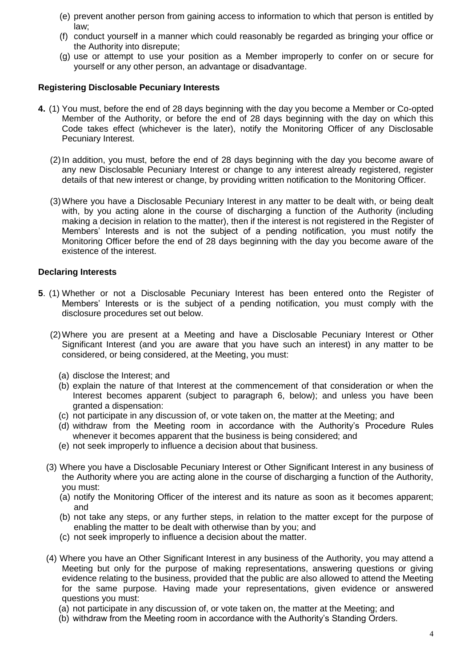- (e) prevent another person from gaining access to information to which that person is entitled by law;
- (f) conduct yourself in a manner which could reasonably be regarded as bringing your office or the Authority into disrepute;
- (g) use or attempt to use your position as a Member improperly to confer on or secure for yourself or any other person, an advantage or disadvantage.

#### **Registering Disclosable Pecuniary Interests**

- **4.** (1) You must, before the end of 28 days beginning with the day you become a Member or Co-opted Member of the Authority, or before the end of 28 days beginning with the day on which this Code takes effect (whichever is the later), notify the Monitoring Officer of any Disclosable Pecuniary Interest.
	- (2)In addition, you must, before the end of 28 days beginning with the day you become aware of any new Disclosable Pecuniary Interest or change to any interest already registered, register details of that new interest or change, by providing written notification to the Monitoring Officer.
	- (3)Where you have a Disclosable Pecuniary Interest in any matter to be dealt with, or being dealt with, by you acting alone in the course of discharging a function of the Authority (including making a decision in relation to the matter), then if the interest is not registered in the Register of Members' Interests and is not the subject of a pending notification, you must notify the Monitoring Officer before the end of 28 days beginning with the day you become aware of the existence of the interest.

#### **Declaring Interests**

- **5**. (1) Whether or not a Disclosable Pecuniary Interest has been entered onto the Register of Members' Interests or is the subject of a pending notification, you must comply with the disclosure procedures set out below.
	- (2)Where you are present at a Meeting and have a Disclosable Pecuniary Interest or Other Significant Interest (and you are aware that you have such an interest) in any matter to be considered, or being considered, at the Meeting, you must:
		- (a) disclose the Interest; and
		- (b) explain the nature of that Interest at the commencement of that consideration or when the Interest becomes apparent (subject to paragraph 6, below); and unless you have been granted a dispensation:
		- (c) not participate in any discussion of, or vote taken on, the matter at the Meeting; and
		- (d) withdraw from the Meeting room in accordance with the Authority's Procedure Rules whenever it becomes apparent that the business is being considered; and
		- (e) not seek improperly to influence a decision about that business.
	- (3) Where you have a Disclosable Pecuniary Interest or Other Significant Interest in any business of the Authority where you are acting alone in the course of discharging a function of the Authority, you must:
		- (a) notify the Monitoring Officer of the interest and its nature as soon as it becomes apparent; and
		- (b) not take any steps, or any further steps, in relation to the matter except for the purpose of enabling the matter to be dealt with otherwise than by you; and
		- (c) not seek improperly to influence a decision about the matter.
	- (4) Where you have an Other Significant Interest in any business of the Authority, you may attend a Meeting but only for the purpose of making representations, answering questions or giving evidence relating to the business, provided that the public are also allowed to attend the Meeting for the same purpose. Having made your representations, given evidence or answered questions you must:
		- (a) not participate in any discussion of, or vote taken on, the matter at the Meeting; and
		- (b) withdraw from the Meeting room in accordance with the Authority's Standing Orders.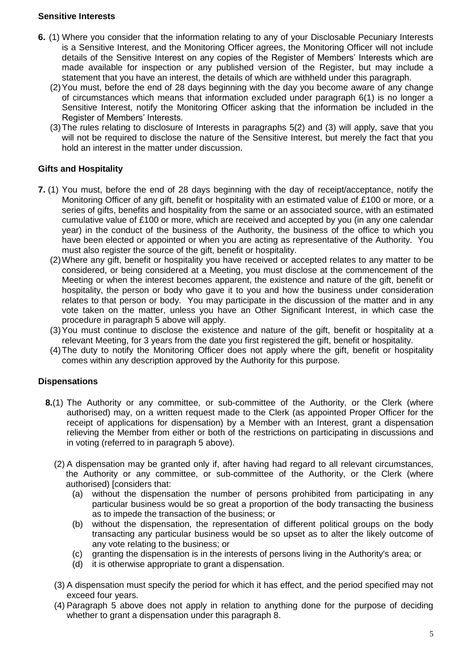#### **Sensitive Interests**

- **6.** (1) Where you consider that the information relating to any of your Disclosable Pecuniary Interests is a Sensitive Interest, and the Monitoring Officer agrees, the Monitoring Officer will not include details of the Sensitive Interest on any copies of the Register of Members' Interests which are made available for inspection or any published version of the Register, but may include a statement that you have an interest, the details of which are withheld under this paragraph.
	- (2)You must, before the end of 28 days beginning with the day you become aware of any change of circumstances which means that information excluded under paragraph 6(1) is no longer a Sensitive Interest, notify the Monitoring Officer asking that the information be included in the Register of Members' Interests.
	- (3)The rules relating to disclosure of Interests in paragraphs 5(2) and (3) will apply, save that you will not be required to disclose the nature of the Sensitive Interest, but merely the fact that you hold an interest in the matter under discussion.

#### **Gifts and Hospitality**

- **7.** (1) You must, before the end of 28 days beginning with the day of receipt/acceptance, notify the Monitoring Officer of any gift, benefit or hospitality with an estimated value of £100 or more, or a series of gifts, benefits and hospitality from the same or an associated source, with an estimated cumulative value of £100 or more, which are received and accepted by you (in any one calendar year) in the conduct of the business of the Authority, the business of the office to which you have been elected or appointed or when you are acting as representative of the Authority. You must also register the source of the gift, benefit or hospitality.
	- (2)Where any gift, benefit or hospitality you have received or accepted relates to any matter to be considered, or being considered at a Meeting, you must disclose at the commencement of the Meeting or when the interest becomes apparent, the existence and nature of the gift, benefit or hospitality, the person or body who gave it to you and how the business under consideration relates to that person or body. You may participate in the discussion of the matter and in any vote taken on the matter, unless you have an Other Significant Interest, in which case the procedure in paragraph 5 above will apply.
	- (3)You must continue to disclose the existence and nature of the gift, benefit or hospitality at a relevant Meeting, for 3 years from the date you first registered the gift, benefit or hospitality.
	- (4)The duty to notify the Monitoring Officer does not apply where the gift, benefit or hospitality comes within any description approved by the Authority for this purpose.

#### **Dispensations**

- **8.**(1) The Authority or any committee, or sub-committee of the Authority, or the Clerk (where authorised) may, on a written request made to the Clerk (as appointed Proper Officer for the receipt of applications for dispensation) by a Member with an Interest, grant a dispensation relieving the Member from either or both of the restrictions on participating in discussions and in voting (referred to in paragraph 5 above).
	- (2) A dispensation may be granted only if, after having had regard to all relevant circumstances, the Authority or any committee, or sub-committee of the Authority, or the Clerk (where authorised) [considers that:
		- (a) without the dispensation the number of persons prohibited from participating in any particular business would be so great a proportion of the body transacting the business as to impede the transaction of the business; or
		- (b) without the dispensation, the representation of different political groups on the body transacting any particular business would be so upset as to alter the likely outcome of any vote relating to the business; or
		- (c) granting the dispensation is in the interests of persons living in the Authority's area; or
		- (d) it is otherwise appropriate to grant a dispensation.
	- (3) A dispensation must specify the period for which it has effect, and the period specified may not exceed four years.
	- (4) Paragraph 5 above does not apply in relation to anything done for the purpose of deciding whether to grant a dispensation under this paragraph 8.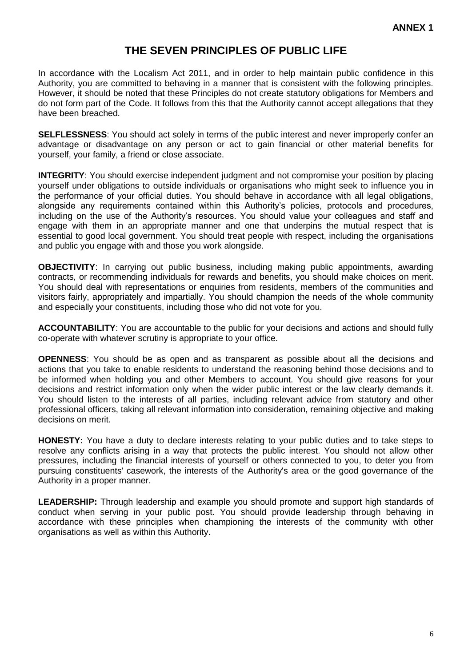## **THE SEVEN PRINCIPLES OF PUBLIC LIFE**

In accordance with the Localism Act 2011, and in order to help maintain public confidence in this Authority, you are committed to behaving in a manner that is consistent with the following principles. However, it should be noted that these Principles do not create statutory obligations for Members and do not form part of the Code. It follows from this that the Authority cannot accept allegations that they have been breached.

**SELFLESSNESS**: You should act solely in terms of the public interest and never improperly confer an advantage or disadvantage on any person or act to gain financial or other material benefits for yourself, your family, a friend or close associate.

**INTEGRITY**: You should exercise independent judgment and not compromise your position by placing yourself under obligations to outside individuals or organisations who might seek to influence you in the performance of your official duties. You should behave in accordance with all legal obligations, alongside any requirements contained within this Authority's policies, protocols and procedures, including on the use of the Authority's resources. You should value your colleagues and staff and engage with them in an appropriate manner and one that underpins the mutual respect that is essential to good local government. You should treat people with respect, including the organisations and public you engage with and those you work alongside.

**OBJECTIVITY**: In carrying out public business, including making public appointments, awarding contracts, or recommending individuals for rewards and benefits, you should make choices on merit. You should deal with representations or enquiries from residents, members of the communities and visitors fairly, appropriately and impartially. You should champion the needs of the whole community and especially your constituents, including those who did not vote for you.

**ACCOUNTABILITY**: You are accountable to the public for your decisions and actions and should fully co-operate with whatever scrutiny is appropriate to your office.

**OPENNESS**: You should be as open and as transparent as possible about all the decisions and actions that you take to enable residents to understand the reasoning behind those decisions and to be informed when holding you and other Members to account. You should give reasons for your decisions and restrict information only when the wider public interest or the law clearly demands it. You should listen to the interests of all parties, including relevant advice from statutory and other professional officers, taking all relevant information into consideration, remaining objective and making decisions on merit.

**HONESTY:** You have a duty to declare interests relating to your public duties and to take steps to resolve any conflicts arising in a way that protects the public interest. You should not allow other pressures, including the financial interests of yourself or others connected to you, to deter you from pursuing constituents' casework, the interests of the Authority's area or the good governance of the Authority in a proper manner.

**LEADERSHIP:** Through leadership and example you should promote and support high standards of conduct when serving in your public post. You should provide leadership through behaving in accordance with these principles when championing the interests of the community with other organisations as well as within this Authority.